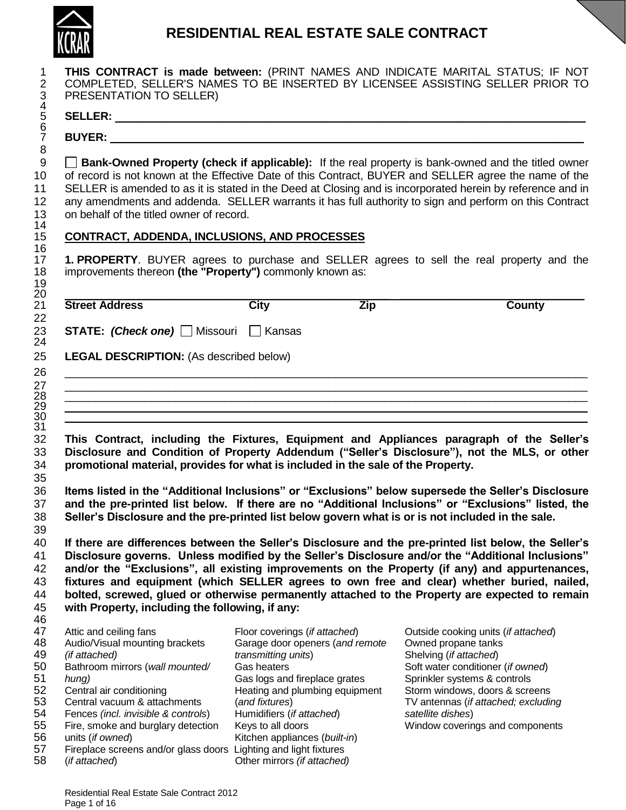

# **RESIDENTIAL REAL ESTATE SALE CONTRACT**

| PRESENTATION TO SELLER)                                                                                                                                                               |                                                                                                                      | COMPLETED, SELLER'S NAMES TO BE INSERTED BY LICENSEE ASSISTING SELLER PRIOR TO                                                                                                                                                                                                                                                                                                                                                                                                                                                                                                                                                                                                                                                                                                                                                                                                                                           |  |
|---------------------------------------------------------------------------------------------------------------------------------------------------------------------------------------|----------------------------------------------------------------------------------------------------------------------|--------------------------------------------------------------------------------------------------------------------------------------------------------------------------------------------------------------------------------------------------------------------------------------------------------------------------------------------------------------------------------------------------------------------------------------------------------------------------------------------------------------------------------------------------------------------------------------------------------------------------------------------------------------------------------------------------------------------------------------------------------------------------------------------------------------------------------------------------------------------------------------------------------------------------|--|
|                                                                                                                                                                                       |                                                                                                                      |                                                                                                                                                                                                                                                                                                                                                                                                                                                                                                                                                                                                                                                                                                                                                                                                                                                                                                                          |  |
|                                                                                                                                                                                       |                                                                                                                      |                                                                                                                                                                                                                                                                                                                                                                                                                                                                                                                                                                                                                                                                                                                                                                                                                                                                                                                          |  |
| on behalf of the titled owner of record.                                                                                                                                              |                                                                                                                      | <b>Bank-Owned Property (check if applicable):</b> If the real property is bank-owned and the titled owner<br>of record is not known at the Effective Date of this Contract, BUYER and SELLER agree the name of the<br>SELLER is amended to as it is stated in the Deed at Closing and is incorporated herein by reference and in<br>any amendments and addenda. SELLER warrants it has full authority to sign and perform on this Contract                                                                                                                                                                                                                                                                                                                                                                                                                                                                               |  |
| <b>CONTRACT, ADDENDA, INCLUSIONS, AND PROCESSES</b>                                                                                                                                   |                                                                                                                      |                                                                                                                                                                                                                                                                                                                                                                                                                                                                                                                                                                                                                                                                                                                                                                                                                                                                                                                          |  |
| improvements thereon (the "Property") commonly known as:                                                                                                                              |                                                                                                                      | 1. PROPERTY. BUYER agrees to purchase and SELLER agrees to sell the real property and the                                                                                                                                                                                                                                                                                                                                                                                                                                                                                                                                                                                                                                                                                                                                                                                                                                |  |
| <b>Street Address</b>                                                                                                                                                                 | <b>City</b><br><b>Zip</b>                                                                                            | <b>County</b>                                                                                                                                                                                                                                                                                                                                                                                                                                                                                                                                                                                                                                                                                                                                                                                                                                                                                                            |  |
| <b>LEGAL DESCRIPTION: (As described below)</b>                                                                                                                                        |                                                                                                                      |                                                                                                                                                                                                                                                                                                                                                                                                                                                                                                                                                                                                                                                                                                                                                                                                                                                                                                                          |  |
|                                                                                                                                                                                       |                                                                                                                      |                                                                                                                                                                                                                                                                                                                                                                                                                                                                                                                                                                                                                                                                                                                                                                                                                                                                                                                          |  |
|                                                                                                                                                                                       |                                                                                                                      |                                                                                                                                                                                                                                                                                                                                                                                                                                                                                                                                                                                                                                                                                                                                                                                                                                                                                                                          |  |
|                                                                                                                                                                                       |                                                                                                                      | <u> 1989 - Johann Harry Louis, marwolaethau a chwaraeth a chwaraeth a chwaraeth a chwaraeth a chwaraeth a chwara</u>                                                                                                                                                                                                                                                                                                                                                                                                                                                                                                                                                                                                                                                                                                                                                                                                     |  |
|                                                                                                                                                                                       | <u> 1989 - Jan Samuel Barbara, margaret a shekara ta 1989 - An tsara tsara tsara tsara tsara tsara tsara tsara t</u> |                                                                                                                                                                                                                                                                                                                                                                                                                                                                                                                                                                                                                                                                                                                                                                                                                                                                                                                          |  |
| promotional material, provides for what is included in the sale of the Property.<br>Seller's Disclosure and the pre-printed list below govern what is or is not included in the sale. |                                                                                                                      |                                                                                                                                                                                                                                                                                                                                                                                                                                                                                                                                                                                                                                                                                                                                                                                                                                                                                                                          |  |
| with Property, including the following, if any:                                                                                                                                       |                                                                                                                      | This Contract, including the Fixtures, Equipment and Appliances paragraph of the Seller's<br>Disclosure and Condition of Property Addendum ("Seller's Disclosure"), not the MLS, or other<br>Items listed in the "Additional Inclusions" or "Exclusions" below supersede the Seller's Disclosure<br>and the pre-printed list below. If there are no "Additional Inclusions" or "Exclusions" listed, the<br>If there are differences between the Seller's Disclosure and the pre-printed list below, the Seller's<br>Disclosure governs. Unless modified by the Seller's Disclosure and/or the "Additional Inclusions"<br>and/or the "Exclusions", all existing improvements on the Property (if any) and appurtenances,<br>fixtures and equipment (which SELLER agrees to own free and clear) whether buried, nailed,<br>bolted, screwed, glued or otherwise permanently attached to the Property are expected to remain |  |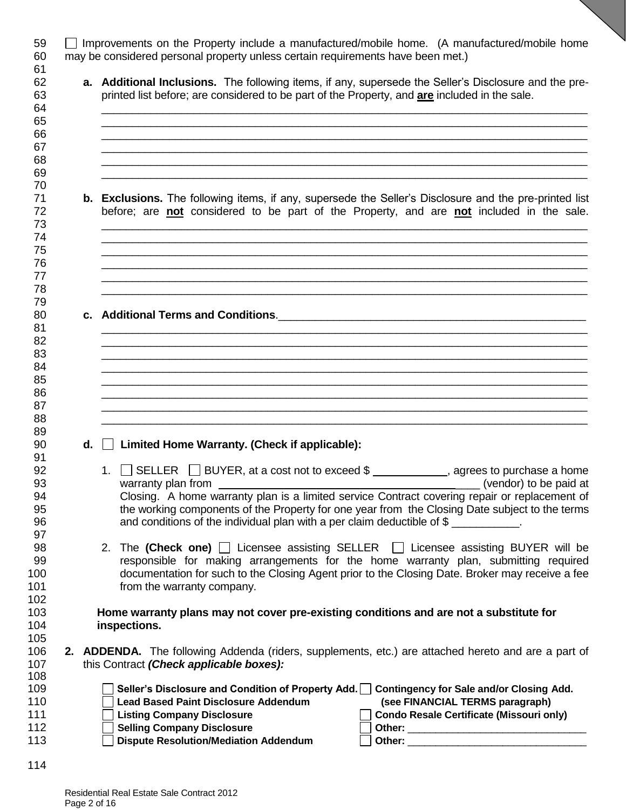| <b>a.</b> Additional Inclusions. The following items, if any, supersede the Seller's Disclosure and the pre-<br>printed list before; are considered to be part of the Property, and are included in the sale. |
|---------------------------------------------------------------------------------------------------------------------------------------------------------------------------------------------------------------|
|                                                                                                                                                                                                               |
|                                                                                                                                                                                                               |
|                                                                                                                                                                                                               |
|                                                                                                                                                                                                               |
|                                                                                                                                                                                                               |
|                                                                                                                                                                                                               |
|                                                                                                                                                                                                               |
| <b>b.</b> Exclusions. The following items, if any, supersede the Seller's Disclosure and the pre-printed list<br>before; are not considered to be part of the Property, and are not included in the sale.     |
|                                                                                                                                                                                                               |
|                                                                                                                                                                                                               |
|                                                                                                                                                                                                               |

 \_\_\_\_\_\_\_\_\_\_\_\_\_\_\_\_\_\_\_\_\_\_\_\_\_\_\_\_\_\_\_\_\_\_\_\_\_\_\_\_\_\_\_\_\_\_\_\_\_\_\_\_\_\_\_\_\_\_\_\_\_\_\_\_\_\_\_\_\_\_\_\_\_\_\_\_\_\_\_ \_\_\_\_\_\_\_\_\_\_\_\_\_\_\_\_\_\_\_\_\_\_\_\_\_\_\_\_\_\_\_\_\_\_\_\_\_\_\_\_\_\_\_\_\_\_\_\_\_\_\_\_\_\_\_\_\_\_\_\_\_\_\_\_\_\_\_\_\_\_\_\_\_\_\_\_\_\_\_ 85  $\,$  \_\_\_\_\_\_\_\_\_\_\_\_\_\_\_\_\_\_\_\_\_\_\_\_\_\_\_\_\_\_\_\_\_\_\_\_\_\_\_\_\_\_\_\_\_\_\_\_\_\_\_\_\_\_\_\_\_\_\_\_\_\_\_\_\_\_\_\_\_\_\_\_\_\_\_\_\_\_\_ \_\_\_\_\_\_\_\_\_\_\_\_\_\_\_\_\_\_\_\_\_\_\_\_\_\_\_\_\_\_\_\_\_\_\_\_\_\_\_\_\_\_\_\_\_\_\_\_\_\_\_\_\_\_\_\_\_\_\_\_\_\_\_\_\_\_\_\_\_\_\_\_\_\_\_\_\_\_\_ \_\_\_\_\_\_\_\_\_\_\_\_\_\_\_\_\_\_\_\_\_\_\_\_\_\_\_\_\_\_\_\_\_\_\_\_\_\_\_\_\_\_\_\_\_\_\_\_\_\_\_\_\_\_\_\_\_\_\_\_\_\_\_\_\_\_\_\_\_\_\_\_\_\_\_\_\_\_\_

| 90 | $d.$ Limited Home Warranty. (Check if applicable): |  |
|----|----------------------------------------------------|--|
|----|----------------------------------------------------|--|

| ີ  |                                                                                                |
|----|------------------------------------------------------------------------------------------------|
| 92 | 1. $\Box$ SELLER $\Box$ BUYER, at a cost not to exceed \$<br>agrees to purchase a home         |
| 93 | (vendor) to be paid at<br>warranty plan from                                                   |
| 94 | Closing. A home warranty plan is a limited service Contract covering repair or replacement of  |
| 95 | the working components of the Property for one year from the Closing Date subject to the terms |
| 96 | and conditions of the individual plan with a per claim deductible of $\frac{6}{3}$             |
| 67 |                                                                                                |

98 2. The (Check one) I Licensee assisting SELLER I Licensee assisting BUYER will be responsible for making arrangements for the home warranty plan, submitting required documentation for such to the Closing Agent prior to the Closing Date. Broker may receive a fee **from the warranty company.** 

 **Home warranty plans may not cover pre-existing conditions and are not a substitute for**  inspections.

 **2. ADDENDA.** The following Addenda (riders, supplements, etc.) are attached hereto and are a part of this Contract *(Check applicable boxes):* 

| 109 |                                              | Seller's Disclosure and Condition of Property Add. $\Box$ Contingency for Sale and/or Closing Add. |
|-----|----------------------------------------------|----------------------------------------------------------------------------------------------------|
| 110 | Lead Based Paint Disclosure Addendum         | (see FINANCIAL TERMS paragraph)                                                                    |
| 111 | <b>Listing Company Disclosure</b>            | Condo Resale Certificate (Missouri only)                                                           |
| 112 | <b>Selling Company Disclosure</b>            | Other:                                                                                             |
| 113 | <b>Dispute Resolution/Mediation Addendum</b> | Other:                                                                                             |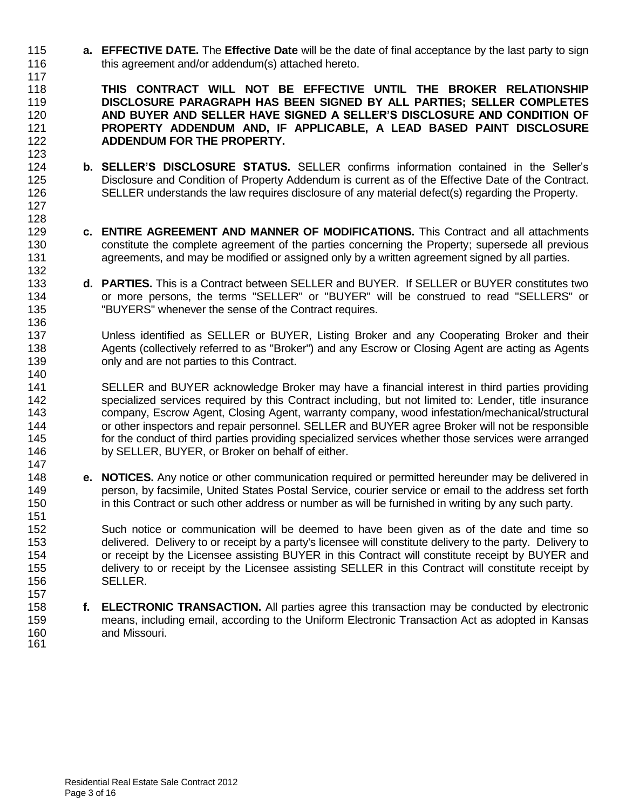**a. EFFECTIVE DATE.** The **Effective Date** will be the date of final acceptance by the last party to sign this agreement and/or addendum(s) attached hereto.

 **THIS CONTRACT WILL NOT BE EFFECTIVE UNTIL THE BROKER RELATIONSHIP DISCLOSURE PARAGRAPH HAS BEEN SIGNED BY ALL PARTIES; SELLER COMPLETES AND BUYER AND SELLER HAVE SIGNED A SELLER'S DISCLOSURE AND CONDITION OF PROPERTY ADDENDUM AND, IF APPLICABLE, A LEAD BASED PAINT DISCLOSURE ADDENDUM FOR THE PROPERTY.**  

- **b. SELLER'S DISCLOSURE STATUS.** SELLER confirms information contained in the Seller's Disclosure and Condition of Property Addendum is current as of the Effective Date of the Contract. SELLER understands the law requires disclosure of any material defect(s) regarding the Property.
- **c. ENTIRE AGREEMENT AND MANNER OF MODIFICATIONS.** This Contract and all attachments constitute the complete agreement of the parties concerning the Property; supersede all previous agreements, and may be modified or assigned only by a written agreement signed by all parties.
- **d. PARTIES.** This is a Contract between SELLER and BUYER. If SELLER or BUYER constitutes two or more persons, the terms "SELLER" or "BUYER" will be construed to read "SELLERS" or "BUYERS" whenever the sense of the Contract requires.
- Unless identified as SELLER or BUYER, Listing Broker and any Cooperating Broker and their 138 Agents (collectively referred to as "Broker") and any Escrow or Closing Agent are acting as Agents only and are not parties to this Contract.
- SELLER and BUYER acknowledge Broker may have a financial interest in third parties providing specialized services required by this Contract including, but not limited to: Lender, title insurance company, Escrow Agent, Closing Agent, warranty company, wood infestation/mechanical/structural or other inspectors and repair personnel. SELLER and BUYER agree Broker will not be responsible for the conduct of third parties providing specialized services whether those services were arranged by SELLER, BUYER, or Broker on behalf of either.
- **e. NOTICES.** Any notice or other communication required or permitted hereunder may be delivered in person, by facsimile, United States Postal Service, courier service or email to the address set forth in this Contract or such other address or number as will be furnished in writing by any such party.

Such notice or communication will be deemed to have been given as of the date and time so delivered. Delivery to or receipt by a party's licensee will constitute delivery to the party. Delivery to or receipt by the Licensee assisting BUYER in this Contract will constitute receipt by BUYER and delivery to or receipt by the Licensee assisting SELLER in this Contract will constitute receipt by SELLER.

 **f. ELECTRONIC TRANSACTION.** All parties agree this transaction may be conducted by electronic means, including email, according to the Uniform Electronic Transaction Act as adopted in Kansas and Missouri. 

Residential Real Estate Sale Contract 2012 Page 3 of 16

 

151<br>152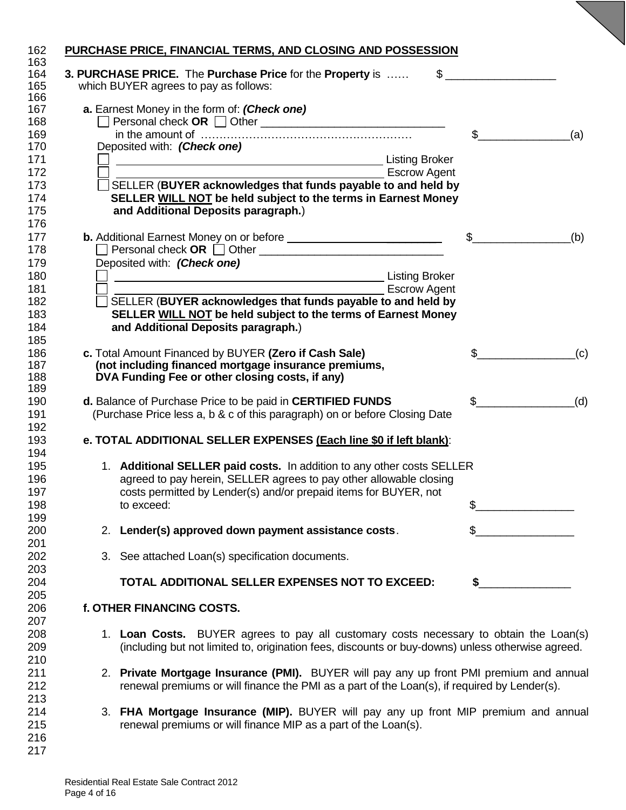| 162               | PURCHASE PRICE, FINANCIAL TERMS, AND CLOSING AND POSSESSION                                              |              |     |
|-------------------|----------------------------------------------------------------------------------------------------------|--------------|-----|
| 163<br>164<br>165 | \$<br>3. PURCHASE PRICE. The Purchase Price for the Property is<br>which BUYER agrees to pay as follows: |              |     |
| 166<br>167<br>168 | a. Earnest Money in the form of: (Check one)                                                             |              |     |
| 169               |                                                                                                          | \$           | (a) |
| 170               | Deposited with: (Check one)                                                                              |              |     |
| 171               | Listing Broker                                                                                           |              |     |
| 172               | <b>Escrow Agent</b>                                                                                      |              |     |
| 173               | SELLER (BUYER acknowledges that funds payable to and held by                                             |              |     |
| 174               | SELLER WILL NOT be held subject to the terms in Earnest Money                                            |              |     |
| 175               | and Additional Deposits paragraph.)                                                                      |              |     |
| 176               |                                                                                                          | \$           |     |
| 177<br>178        | □ Personal check OR □ Other <u>________________________________</u>                                      |              | (b) |
| 179               | Deposited with: (Check one)                                                                              |              |     |
| 180               | <b>Listing Broker</b>                                                                                    |              |     |
| 181               | <u> 1989 - Johann Barn, amerikansk politiker (d. 1989)</u><br><b>Escrow Agent</b>                        |              |     |
| 182               | $\Box$ SELLER (BUYER acknowledges that funds payable to and held by                                      |              |     |
| 183               | SELLER WILL NOT be held subject to the terms of Earnest Money                                            |              |     |
| 184               | and Additional Deposits paragraph.)                                                                      |              |     |
| 185               |                                                                                                          |              |     |
| 186               | c. Total Amount Financed by BUYER (Zero if Cash Sale)                                                    |              |     |
| 187               | (not including financed mortgage insurance premiums,                                                     |              | (c) |
| 188               | DVA Funding Fee or other closing costs, if any)                                                          |              |     |
| 189               |                                                                                                          |              |     |
| 190               | d. Balance of Purchase Price to be paid in CERTIFIED FUNDS                                               | \$           | (d) |
| 191               | (Purchase Price less a, b & c of this paragraph) on or before Closing Date                               |              |     |
| 192               |                                                                                                          |              |     |
| 193               | e. TOTAL ADDITIONAL SELLER EXPENSES (Each line \$0 if left blank):                                       |              |     |
| 194               |                                                                                                          |              |     |
| 195               | 1. Additional SELLER paid costs. In addition to any other costs SELLER                                   |              |     |
| 196               | agreed to pay herein, SELLER agrees to pay other allowable closing                                       |              |     |
| 197               | costs permitted by Lender(s) and/or prepaid items for BUYER, not                                         |              |     |
| 198               | to exceed:                                                                                               | \$           |     |
| 199               |                                                                                                          |              |     |
| 200               | 2. Lender(s) approved down payment assistance costs.                                                     | $\mathbb{S}$ |     |
| 201               | 3. See attached Loan(s) specification documents.                                                         |              |     |
| 202<br>203        |                                                                                                          |              |     |
| 204               | TOTAL ADDITIONAL SELLER EXPENSES NOT TO EXCEED:                                                          | \$           |     |
| 205               |                                                                                                          |              |     |
| 206               | f. OTHER FINANCING COSTS.                                                                                |              |     |
| 207               |                                                                                                          |              |     |
| 208               | 1. Loan Costs. BUYER agrees to pay all customary costs necessary to obtain the Loan(s)                   |              |     |
| 209               | (including but not limited to, origination fees, discounts or buy-downs) unless otherwise agreed.        |              |     |
| 210               |                                                                                                          |              |     |
| 211               | 2. Private Mortgage Insurance (PMI). BUYER will pay any up front PMI premium and annual                  |              |     |
| 212               | renewal premiums or will finance the PMI as a part of the Loan(s), if required by Lender(s).             |              |     |
| 213               |                                                                                                          |              |     |
| 214               | 3. FHA Mortgage Insurance (MIP). BUYER will pay any up front MIP premium and annual                      |              |     |
| 215               | renewal premiums or will finance MIP as a part of the Loan(s).                                           |              |     |
| 216               |                                                                                                          |              |     |
| 217               |                                                                                                          |              |     |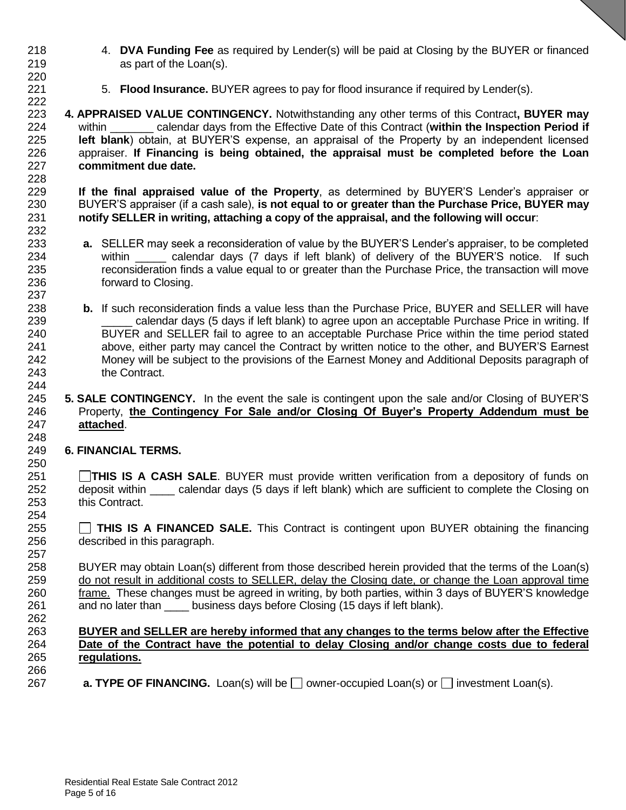- 4. **DVA Funding Fee** as required by Lender(s) will be paid at Closing by the BUYER or financed as part of the Loan(s).
- 5. **Flood Insurance.** BUYER agrees to pay for flood insurance if required by Lender(s).
- **4. APPRAISED VALUE CONTINGENCY.** Notwithstanding any other terms of this Contract**, BUYER may** within \_\_\_\_\_\_\_ calendar days from the Effective Date of this Contract (**within the Inspection Period if left blank**) obtain, at BUYER'S expense, an appraisal of the Property by an independent licensed appraiser. **If Financing is being obtained, the appraisal must be completed before the Loan commitment due date.**

228<br>229 **If the final appraised value of the Property**, as determined by BUYER'S Lender's appraiser or BUYER'S appraiser (if a cash sale), **is not equal to or greater than the Purchase Price, BUYER may notify SELLER in writing, attaching a copy of the appraisal, and the following will occur**: 

- **a.** SELLER may seek a reconsideration of value by the BUYER'S Lender's appraiser, to be completed 234 within calendar days (7 days if left blank) of delivery of the BUYER'S notice. If such reconsideration finds a value equal to or greater than the Purchase Price, the transaction will move forward to Closing.
- **b.** If such reconsideration finds a value less than the Purchase Price, BUYER and SELLER will have \_\_\_\_\_ calendar days (5 days if left blank) to agree upon an acceptable Purchase Price in writing. If BUYER and SELLER fail to agree to an acceptable Purchase Price within the time period stated above, either party may cancel the Contract by written notice to the other, and BUYER'S Earnest Money will be subject to the provisions of the Earnest Money and Additional Deposits paragraph of the Contract.

#### **5. SALE CONTINGENCY.** In the event the sale is contingent upon the sale and/or Closing of BUYER'S Property, **the Contingency For Sale and/or Closing Of Buyer's Property Addendum must be attached**.

### **6. FINANCIAL TERMS.**

- **THIS IS A CASH SALE**. BUYER must provide written verification from a depository of funds on 252 deposit within calendar days (5 days if left blank) which are sufficient to complete the Closing on this Contract.
- **THIS IS A FINANCED SALE.** This Contract is contingent upon BUYER obtaining the financing described in this paragraph.
- BUYER may obtain Loan(s) different from those described herein provided that the terms of the Loan(s) do not result in additional costs to SELLER, delay the Closing date, or change the Loan approval time frame. These changes must be agreed in writing, by both parties, within 3 days of BUYER'S knowledge 261 and no later than business days before Closing (15 days if left blank).

#### **BUYER and SELLER are hereby informed that any changes to the terms below after the Effective Date of the Contract have the potential to delay Closing and/or change costs due to federal regulations.**

267 **a. TYPE OF FINANCING.** Loan(s) will be  $\Box$  owner-occupied Loan(s) or  $\Box$  investment Loan(s).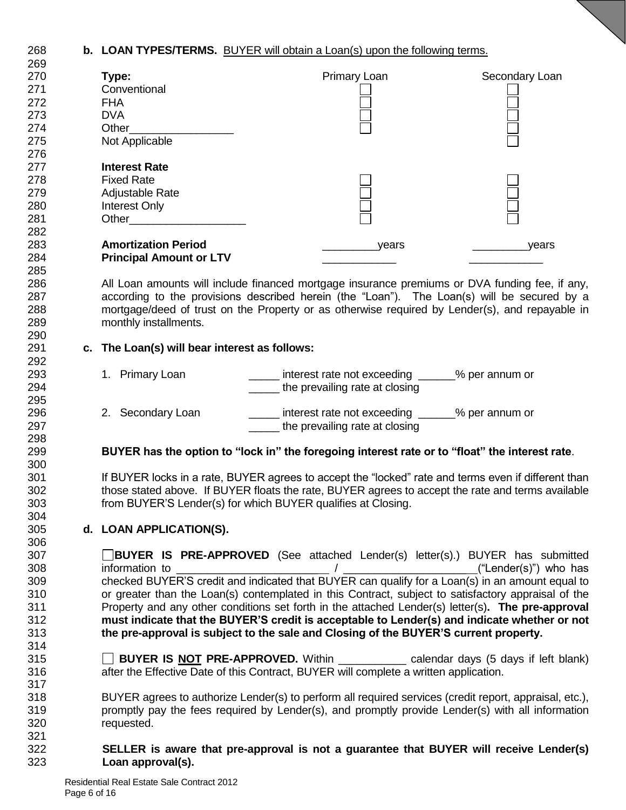#### **b. LOAN TYPES/TERMS.** BUYER will obtain a Loan(s) upon the following terms.  $\sim$

| 269 |                                               |                                                                                                        |                |
|-----|-----------------------------------------------|--------------------------------------------------------------------------------------------------------|----------------|
| 270 | Type:                                         | Primary Loan                                                                                           | Secondary Loan |
| 271 | Conventional                                  |                                                                                                        |                |
| 272 | <b>FHA</b>                                    |                                                                                                        |                |
| 273 | <b>DVA</b>                                    |                                                                                                        |                |
|     |                                               |                                                                                                        |                |
| 274 | Other                                         |                                                                                                        |                |
| 275 | Not Applicable                                |                                                                                                        |                |
| 276 |                                               |                                                                                                        |                |
| 277 | <b>Interest Rate</b>                          |                                                                                                        |                |
| 278 | <b>Fixed Rate</b>                             |                                                                                                        |                |
| 279 | Adjustable Rate                               |                                                                                                        |                |
| 280 | Interest Only                                 |                                                                                                        |                |
|     |                                               |                                                                                                        |                |
| 281 | <b>Other Community</b>                        |                                                                                                        |                |
| 282 |                                               |                                                                                                        |                |
| 283 | <b>Amortization Period</b>                    | years                                                                                                  | years          |
| 284 | <b>Principal Amount or LTV</b>                |                                                                                                        |                |
| 285 |                                               |                                                                                                        |                |
| 286 |                                               | All Loan amounts will include financed mortgage insurance premiums or DVA funding fee, if any,         |                |
| 287 |                                               | according to the provisions described herein (the "Loan"). The Loan(s) will be secured by a            |                |
| 288 |                                               | mortgage/deed of trust on the Property or as otherwise required by Lender(s), and repayable in         |                |
|     |                                               |                                                                                                        |                |
| 289 | monthly installments.                         |                                                                                                        |                |
| 290 |                                               |                                                                                                        |                |
| 291 | c. The Loan(s) will bear interest as follows: |                                                                                                        |                |
| 292 |                                               |                                                                                                        |                |
| 293 | 1. Primary Loan                               | interest rate not exceeding _____% per annum or                                                        |                |
| 294 |                                               | the prevailing rate at closing                                                                         |                |
| 295 |                                               |                                                                                                        |                |
| 296 | 2. Secondary Loan                             | interest rate not exceeding ______% per annum or                                                       |                |
| 297 |                                               |                                                                                                        |                |
|     |                                               | the prevailing rate at closing                                                                         |                |
| 298 |                                               |                                                                                                        |                |
| 299 |                                               | BUYER has the option to "lock in" the foregoing interest rate or to "float" the interest rate.         |                |
| 300 |                                               |                                                                                                        |                |
| 301 |                                               | If BUYER locks in a rate, BUYER agrees to accept the "locked" rate and terms even if different than    |                |
| 302 |                                               | those stated above. If BUYER floats the rate, BUYER agrees to accept the rate and terms available      |                |
| 303 |                                               | from BUYER'S Lender(s) for which BUYER qualifies at Closing.                                           |                |
| 304 |                                               |                                                                                                        |                |
| 305 | d. LOAN APPLICATION(S).                       |                                                                                                        |                |
|     |                                               |                                                                                                        |                |
| 306 |                                               |                                                                                                        |                |
| 307 |                                               | <b>BUYER IS PRE-APPROVED</b> (See attached Lender(s) letter(s).) BUYER has submitted                   |                |
| 308 |                                               |                                                                                                        |                |
| 309 |                                               | checked BUYER'S credit and indicated that BUYER can qualify for a Loan(s) in an amount equal to        |                |
| 310 |                                               | or greater than the Loan(s) contemplated in this Contract, subject to satisfactory appraisal of the    |                |
| 311 |                                               | Property and any other conditions set forth in the attached Lender(s) letter(s). The pre-approval      |                |
| 312 |                                               | must indicate that the BUYER'S credit is acceptable to Lender(s) and indicate whether or not           |                |
| 313 |                                               | the pre-approval is subject to the sale and Closing of the BUYER'S current property.                   |                |
|     |                                               |                                                                                                        |                |
| 314 |                                               |                                                                                                        |                |
| 315 |                                               | <b>BUYER IS NOT PRE-APPROVED.</b> Within _____________ calendar days (5 days if left blank)            |                |
| 316 |                                               | after the Effective Date of this Contract, BUYER will complete a written application.                  |                |
| 317 |                                               |                                                                                                        |                |
| 318 |                                               | BUYER agrees to authorize Lender(s) to perform all required services (credit report, appraisal, etc.), |                |
| 319 |                                               | promptly pay the fees required by Lender(s), and promptly provide Lender(s) with all information       |                |
| 320 | requested.                                    |                                                                                                        |                |
| 321 |                                               |                                                                                                        |                |
| 322 |                                               | SELLER is aware that pre-approval is not a guarantee that BUYER will receive Lender(s)                 |                |
|     |                                               |                                                                                                        |                |
| 323 | Loan approval(s).                             |                                                                                                        |                |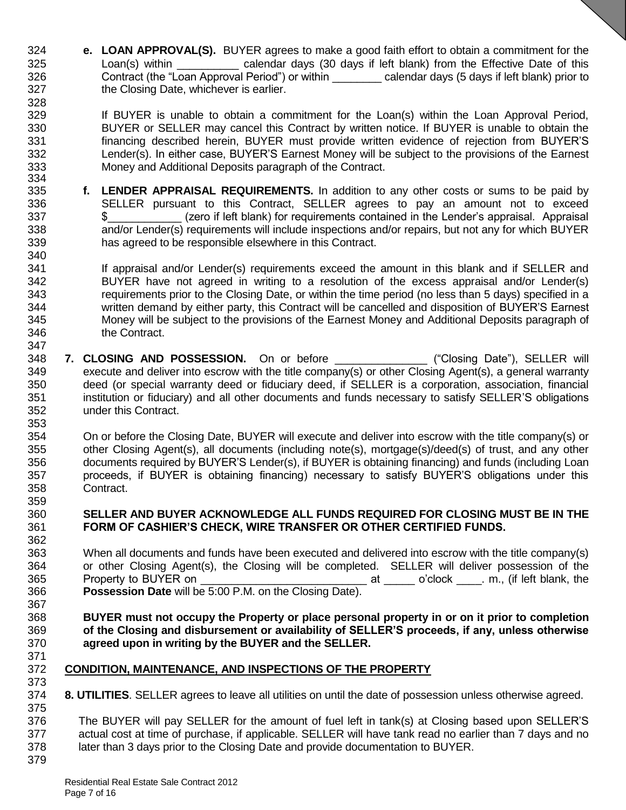- **e. LOAN APPROVAL(S).** BUYER agrees to make a good faith effort to obtain a commitment for the 325 Loan(s) within calendar days (30 days if left blank) from the Effective Date of this Contract (the "Loan Approval Period") or within \_\_\_\_\_\_\_\_ calendar days (5 days if left blank) prior to the Closing Date, whichever is earlier.
- 329 If BUYER is unable to obtain a commitment for the Loan(s) within the Loan Approval Period, BUYER or SELLER may cancel this Contract by written notice. If BUYER is unable to obtain the financing described herein, BUYER must provide written evidence of rejection from BUYER'S Lender(s). In either case, BUYER'S Earnest Money will be subject to the provisions of the Earnest Money and Additional Deposits paragraph of the Contract.
- 333<br>334 **f. LENDER APPRAISAL REQUIREMENTS.** In addition to any other costs or sums to be paid by SELLER pursuant to this Contract, SELLER agrees to pay an amount not to exceed \$\_\_\_\_\_\_\_\_\_\_\_\_ (zero if left blank) for requirements contained in the Lender's appraisal. Appraisal and/or Lender(s) requirements will include inspections and/or repairs, but not any for which BUYER has agreed to be responsible elsewhere in this Contract.
- 341 If appraisal and/or Lender(s) requirements exceed the amount in this blank and if SELLER and BUYER have not agreed in writing to a resolution of the excess appraisal and/or Lender(s) requirements prior to the Closing Date, or within the time period (no less than 5 days) specified in a written demand by either party, this Contract will be cancelled and disposition of BUYER'S Earnest Money will be subject to the provisions of the Earnest Money and Additional Deposits paragraph of the Contract.
- **7. CLOSING AND POSSESSION.** On or before \_\_\_\_\_\_\_\_\_\_\_\_\_\_\_ ("Closing Date"), SELLER will execute and deliver into escrow with the title company(s) or other Closing Agent(s), a general warranty deed (or special warranty deed or fiduciary deed, if SELLER is a corporation, association, financial institution or fiduciary) and all other documents and funds necessary to satisfy SELLER'S obligations under this Contract.
- On or before the Closing Date, BUYER will execute and deliver into escrow with the title company(s) or other Closing Agent(s), all documents (including note(s), mortgage(s)/deed(s) of trust, and any other documents required by BUYER'S Lender(s), if BUYER is obtaining financing) and funds (including Loan proceeds, if BUYER is obtaining financing) necessary to satisfy BUYER'S obligations under this Contract.

### **SELLER AND BUYER ACKNOWLEDGE ALL FUNDS REQUIRED FOR CLOSING MUST BE IN THE FORM OF CASHIER'S CHECK, WIRE TRANSFER OR OTHER CERTIFIED FUNDS.**

- When all documents and funds have been executed and delivered into escrow with the title company(s) or other Closing Agent(s), the Closing will be completed. SELLER will deliver possession of the Property to BUYER on \_\_\_\_\_\_\_\_\_\_\_\_\_\_\_\_\_\_\_\_\_\_\_\_\_\_\_ at \_\_\_\_\_ o'clock \_\_\_\_. m., (if left blank, the **Possession Date** will be 5:00 P.M. on the Closing Date).
- **BUYER must not occupy the Property or place personal property in or on it prior to completion of the Closing and disbursement or availability of SELLER'S proceeds, if any, unless otherwise agreed upon in writing by the BUYER and the SELLER.**
- **CONDITION, MAINTENANCE, AND INSPECTIONS OF THE PROPERTY**
- **8. UTILITIES**. SELLER agrees to leave all utilities on until the date of possession unless otherwise agreed.
- The BUYER will pay SELLER for the amount of fuel left in tank(s) at Closing based upon SELLER'S actual cost at time of purchase, if applicable. SELLER will have tank read no earlier than 7 days and no later than 3 days prior to the Closing Date and provide documentation to BUYER.
-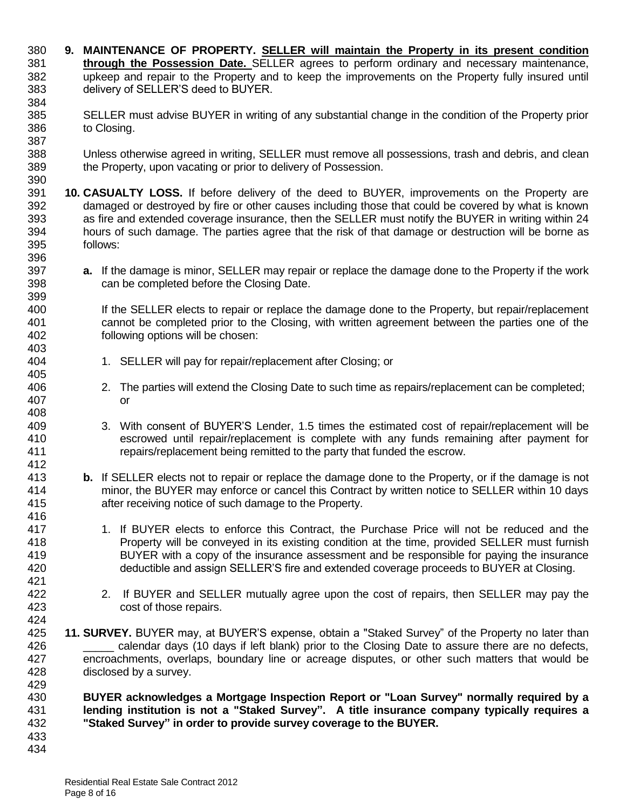**9. MAINTENANCE OF PROPERTY. SELLER will maintain the Property in its present condition through the Possession Date.** SELLER agrees to perform ordinary and necessary maintenance, upkeep and repair to the Property and to keep the improvements on the Property fully insured until delivery of SELLER'S deed to BUYER. SELLER must advise BUYER in writing of any substantial change in the condition of the Property prior to Closing. Unless otherwise agreed in writing, SELLER must remove all possessions, trash and debris, and clean the Property, upon vacating or prior to delivery of Possession. **10. CASUALTY LOSS.** If before delivery of the deed to BUYER, improvements on the Property are damaged or destroyed by fire or other causes including those that could be covered by what is known 393 as fire and extended coverage insurance, then the SELLER must notify the BUYER in writing within 24<br>394 hours of such damage. The parties agree that the risk of that damage or destruction will be borne as hours of such damage. The parties agree that the risk of that damage or destruction will be borne as follows: **a.** If the damage is minor, SELLER may repair or replace the damage done to the Property if the work can be completed before the Closing Date. If the SELLER elects to repair or replace the damage done to the Property, but repair/replacement cannot be completed prior to the Closing, with written agreement between the parties one of the following options will be chosen: 1. SELLER will pay for repair/replacement after Closing; or 2. The parties will extend the Closing Date to such time as repairs/replacement can be completed; or 3. With consent of BUYER'S Lender, 1.5 times the estimated cost of repair/replacement will be escrowed until repair/replacement is complete with any funds remaining after payment for repairs/replacement being remitted to the party that funded the escrow. **b.** If SELLER elects not to repair or replace the damage done to the Property, or if the damage is not minor, the BUYER may enforce or cancel this Contract by written notice to SELLER within 10 days after receiving notice of such damage to the Property. 1. If BUYER elects to enforce this Contract, the Purchase Price will not be reduced and the Property will be conveyed in its existing condition at the time, provided SELLER must furnish BUYER with a copy of the insurance assessment and be responsible for paying the insurance deductible and assign SELLER'S fire and extended coverage proceeds to BUYER at Closing. 2. If BUYER and SELLER mutually agree upon the cost of repairs, then SELLER may pay the cost of those repairs. **11. SURVEY.** BUYER may, at BUYER'S expense, obtain a "Staked Survey" of the Property no later than \_\_\_\_\_ calendar days (10 days if left blank) prior to the Closing Date to assure there are no defects, encroachments, overlaps, boundary line or acreage disputes, or other such matters that would be disclosed by a survey. **BUYER acknowledges a Mortgage Inspection Report or "Loan Survey" normally required by a lending institution is not a "Staked Survey". A title insurance company typically requires a "Staked Survey" in order to provide survey coverage to the BUYER.**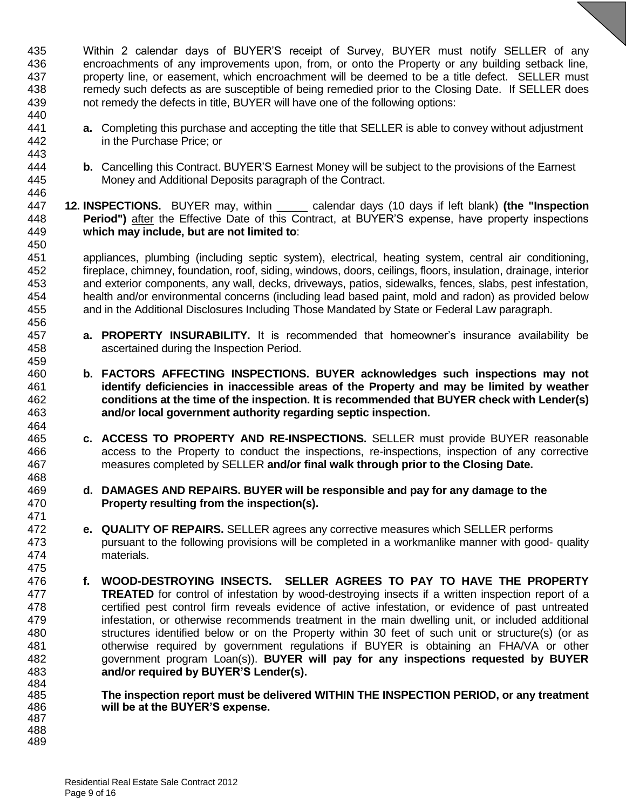Within 2 calendar days of BUYER'S receipt of Survey, BUYER must notify SELLER of any encroachments of any improvements upon, from, or onto the Property or any building setback line, property line, or easement, which encroachment will be deemed to be a title defect. SELLER must remedy such defects as are susceptible of being remedied prior to the Closing Date. If SELLER does not remedy the defects in title, BUYER will have one of the following options: 

- **a.** Completing this purchase and accepting the title that SELLER is able to convey without adjustment in the Purchase Price; or
- **b.** Cancelling this Contract. BUYER'S Earnest Money will be subject to the provisions of the Earnest Money and Additional Deposits paragraph of the Contract.
- **12. INSPECTIONS.** BUYER may, within \_\_\_\_\_ calendar days (10 days if left blank) **(the "Inspection Period")** after the Effective Date of this Contract, at BUYER'S expense, have property inspections **which may include, but are not limited to**:

 appliances, plumbing (including septic system), electrical, heating system, central air conditioning, fireplace, chimney, foundation, roof, siding, windows, doors, ceilings, floors, insulation, drainage, interior and exterior components, any wall, decks, driveways, patios, sidewalks, fences, slabs, pest infestation, health and/or environmental concerns (including lead based paint, mold and radon) as provided below and in the Additional Disclosures Including Those Mandated by State or Federal Law paragraph.

- **a. PROPERTY INSURABILITY.** It is recommended that homeowner's insurance availability be ascertained during the Inspection Period.
- **b. FACTORS AFFECTING INSPECTIONS. BUYER acknowledges such inspections may not identify deficiencies in inaccessible areas of the Property and may be limited by weather conditions at the time of the inspection. It is recommended that BUYER check with Lender(s) and/or local government authority regarding septic inspection.**
- **c. ACCESS TO PROPERTY AND RE-INSPECTIONS.** SELLER must provide BUYER reasonable access to the Property to conduct the inspections, re-inspections, inspection of any corrective measures completed by SELLER **and/or final walk through prior to the Closing Date.**
- **d. DAMAGES AND REPAIRS. BUYER will be responsible and pay for any damage to the Property resulting from the inspection(s).**
- **e. QUALITY OF REPAIRS.** SELLER agrees any corrective measures which SELLER performs pursuant to the following provisions will be completed in a workmanlike manner with good- quality materials.
- **f. WOOD-DESTROYING INSECTS. SELLER AGREES TO PAY TO HAVE THE PROPERTY TREATED** for control of infestation by wood-destroying insects if a written inspection report of a certified pest control firm reveals evidence of active infestation, or evidence of past untreated infestation, or otherwise recommends treatment in the main dwelling unit, or included additional structures identified below or on the Property within 30 feet of such unit or structure(s) (or as otherwise required by government regulations if BUYER is obtaining an FHA/VA or other government program Loan(s)). **BUYER will pay for any inspections requested by BUYER and/or required by BUYER'S Lender(s).**  484<br>485

 **The inspection report must be delivered WITHIN THE INSPECTION PERIOD, or any treatment will be at the BUYER'S expense.**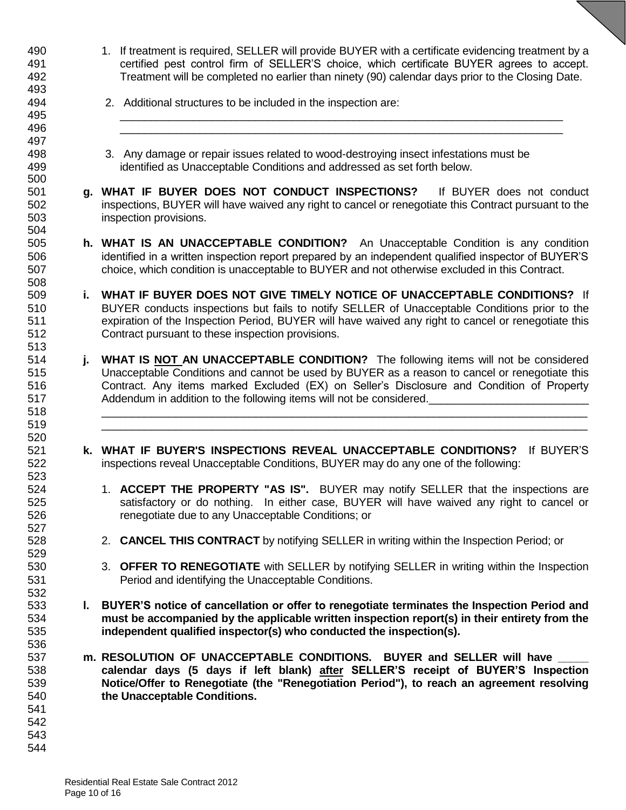- 1. If treatment is required, SELLER will provide BUYER with a certificate evidencing treatment by a certified pest control firm of SELLER'S choice, which certificate BUYER agrees to accept. Treatment will be completed no earlier than ninety (90) calendar days prior to the Closing Date.
- 2. Additional structures to be included in the inspection are:
- 3. Any damage or repair issues related to wood-destroying insect infestations must be identified as Unacceptable Conditions and addressed as set forth below.
- **g. WHAT IF BUYER DOES NOT CONDUCT INSPECTIONS?** If BUYER does not conduct inspections, BUYER will have waived any right to cancel or renegotiate this Contract pursuant to the inspection provisions.
- **h. WHAT IS AN UNACCEPTABLE CONDITION?** An Unacceptable Condition is any condition identified in a written inspection report prepared by an independent qualified inspector of BUYER'S choice, which condition is unacceptable to BUYER and not otherwise excluded in this Contract.
- **i. WHAT IF BUYER DOES NOT GIVE TIMELY NOTICE OF UNACCEPTABLE CONDITIONS?** If BUYER conducts inspections but fails to notify SELLER of Unacceptable Conditions prior to the expiration of the Inspection Period, BUYER will have waived any right to cancel or renegotiate this Contract pursuant to these inspection provisions.
- **j. WHAT IS NOT AN UNACCEPTABLE CONDITION?** The following items will not be considered Unacceptable Conditions and cannot be used by BUYER as a reason to cancel or renegotiate this Contract. Any items marked Excluded (EX) on Seller's Disclosure and Condition of Property 517 Addendum in addition to the following items will not be considered.
- **k. WHAT IF BUYER'S INSPECTIONS REVEAL UNACCEPTABLE CONDITIONS?** If BUYER'S inspections reveal Unacceptable Conditions, BUYER may do any one of the following:
- 1. **ACCEPT THE PROPERTY "AS IS".** BUYER may notify SELLER that the inspections are satisfactory or do nothing. In either case, BUYER will have waived any right to cancel or renegotiate due to any Unacceptable Conditions; or
- 2. **CANCEL THIS CONTRACT** by notifying SELLER in writing within the Inspection Period; or
- 3. **OFFER TO RENEGOTIATE** with SELLER by notifying SELLER in writing within the Inspection Period and identifying the Unacceptable Conditions.
- **l. BUYER'S notice of cancellation or offer to renegotiate terminates the Inspection Period and must be accompanied by the applicable written inspection report(s) in their entirety from the independent qualified inspector(s) who conducted the inspection(s).**
- **m. RESOLUTION OF UNACCEPTABLE CONDITIONS.** BUYER and SELLER will have **calendar days (5 days if left blank) after SELLER'S receipt of BUYER'S Inspection Notice/Offer to Renegotiate (the "Renegotiation Period"), to reach an agreement resolving the Unacceptable Conditions.**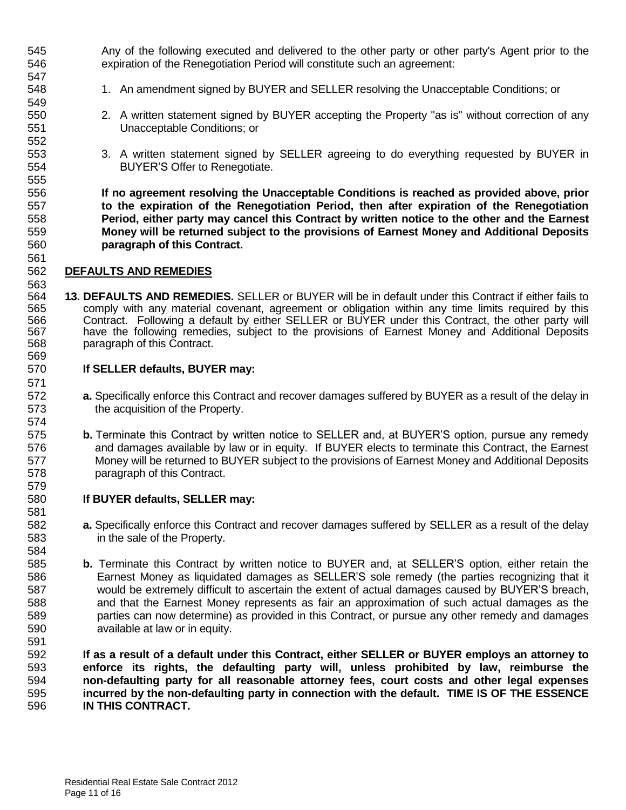Any of the following executed and delivered to the other party or other party's Agent prior to the expiration of the Renegotiation Period will constitute such an agreement:

- 548 1. An amendment signed by BUYER and SELLER resolving the Unacceptable Conditions; or
- 2. A written statement signed by BUYER accepting the Property "as is" without correction of any Unacceptable Conditions; or
- 3. A written statement signed by SELLER agreeing to do everything requested by BUYER in BUYER'S Offer to Renegotiate.

 **If no agreement resolving the Unacceptable Conditions is reached as provided above, prior to the expiration of the Renegotiation Period, then after expiration of the Renegotiation Period, either party may cancel this Contract by written notice to the other and the Earnest Money will be returned subject to the provisions of Earnest Money and Additional Deposits paragraph of this Contract.** 

### **DEFAULTS AND REMEDIES**

 **13. DEFAULTS AND REMEDIES.** SELLER or BUYER will be in default under this Contract if either fails to 565 comply with any material covenant, agreement or obligation within any time limits required by this<br>566 Contract. Following a default by either SELLER or BUYER under this Contract, the other party will Contract. Following a default by either SELLER or BUYER under this Contract, the other party will 567 have the following remedies, subject to the provisions of Earnest Money and Additional Deposits 568 sparagraph of this Contract. paragraph of this Contract. 

### **If SELLER defaults, BUYER may:**

- **a.** Specifically enforce this Contract and recover damages suffered by BUYER as a result of the delay in the acquisition of the Property.
- **b.** Terminate this Contract by written notice to SELLER and, at BUYER'S option, pursue any remedy and damages available by law or in equity. If BUYER elects to terminate this Contract, the Earnest Money will be returned to BUYER subject to the provisions of Earnest Money and Additional Deposits paragraph of this Contract.

### **If BUYER defaults, SELLER may:**

- **a.** Specifically enforce this Contract and recover damages suffered by SELLER as a result of the delay in the sale of the Property.
- **b.** Terminate this Contract by written notice to BUYER and, at SELLER'S option, either retain the Earnest Money as liquidated damages as SELLER'S sole remedy (the parties recognizing that it would be extremely difficult to ascertain the extent of actual damages caused by BUYER'S breach, and that the Earnest Money represents as fair an approximation of such actual damages as the parties can now determine) as provided in this Contract, or pursue any other remedy and damages available at law or in equity.

 **If as a result of a default under this Contract, either SELLER or BUYER employs an attorney to enforce its rights, the defaulting party will, unless prohibited by law, reimburse the non-defaulting party for all reasonable attorney fees, court costs and other legal expenses incurred by the non-defaulting party in connection with the default. TIME IS OF THE ESSENCE IN THIS CONTRACT.**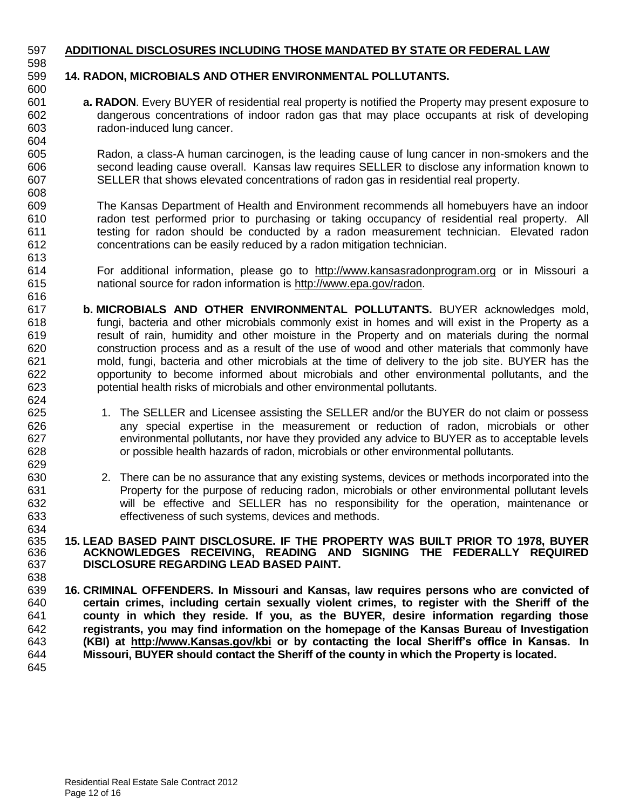### **ADDITIONAL DISCLOSURES INCLUDING THOSE MANDATED BY STATE OR FEDERAL LAW**

 

## **14. RADON, MICROBIALS AND OTHER ENVIRONMENTAL POLLUTANTS.**

 **a. RADON**. Every BUYER of residential real property is notified the Property may present exposure to dangerous concentrations of indoor radon gas that may place occupants at risk of developing radon-induced lung cancer.

 Radon, a class-A human carcinogen, is the leading cause of lung cancer in non-smokers and the second leading cause overall. Kansas law requires SELLER to disclose any information known to SELLER that shows elevated concentrations of radon gas in residential real property.

 The Kansas Department of Health and Environment recommends all homebuyers have an indoor radon test performed prior to purchasing or taking occupancy of residential real property. All testing for radon should be conducted by a radon measurement technician. Elevated radon concentrations can be easily reduced by a radon mitigation technician.

- For additional information, please go to [http://www.kansasradonprogram.org](http://www.kansasradonprogram.org/) or in Missouri a national source for radon information is [http://www.epa.gov/radon.](http://www.epa.gov/radon)
- **b. MICROBIALS AND OTHER ENVIRONMENTAL POLLUTANTS.** BUYER acknowledges mold, fungi, bacteria and other microbials commonly exist in homes and will exist in the Property as a result of rain, humidity and other moisture in the Property and on materials during the normal construction process and as a result of the use of wood and other materials that commonly have mold, fungi, bacteria and other microbials at the time of delivery to the job site. BUYER has the opportunity to become informed about microbials and other environmental pollutants, and the potential health risks of microbials and other environmental pollutants.
- 625 1. The SELLER and Licensee assisting the SELLER and/or the BUYER do not claim or possess any special expertise in the measurement or reduction of radon, microbials or other environmental pollutants, nor have they provided any advice to BUYER as to acceptable levels or possible health hazards of radon, microbials or other environmental pollutants.
- 2. There can be no assurance that any existing systems, devices or methods incorporated into the Property for the purpose of reducing radon, microbials or other environmental pollutant levels will be effective and SELLER has no responsibility for the operation, maintenance or effectiveness of such systems, devices and methods.

#### 634<br>635 **15. LEAD BASED PAINT DISCLOSURE. IF THE PROPERTY WAS BUILT PRIOR TO 1978, BUYER ACKNOWLEDGES RECEIVING, READING AND SIGNING THE FEDERALLY REQUIRED DISCLOSURE REGARDING LEAD BASED PAINT.**

 **16. CRIMINAL OFFENDERS. In Missouri and Kansas, law requires persons who are convicted of certain crimes, including certain sexually violent crimes, to register with the Sheriff of the county in which they reside. If you, as the BUYER, desire information regarding those registrants, you may find information on the homepage of the Kansas Bureau of Investigation (KBI) at http://www.Kansas.gov/kbi or by contacting the local Sheriff's office in Kansas. In Missouri, BUYER should contact the Sheriff of the county in which the Property is located.**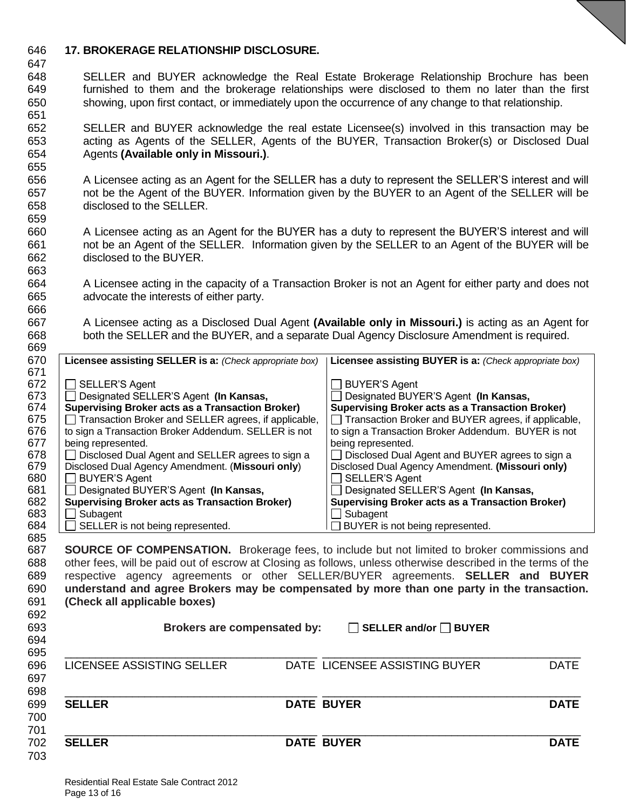### **17. BROKERAGE RELATIONSHIP DISCLOSURE.**

- SELLER and BUYER acknowledge the Real Estate Brokerage Relationship Brochure has been furnished to them and the brokerage relationships were disclosed to them no later than the first showing, upon first contact, or immediately upon the occurrence of any change to that relationship.
- SELLER and BUYER acknowledge the real estate Licensee(s) involved in this transaction may be acting as Agents of the SELLER, Agents of the BUYER, Transaction Broker(s) or Disclosed Dual Agents **(Available only in Missouri.)**.
- A Licensee acting as an Agent for the SELLER has a duty to represent the SELLER'S interest and will not be the Agent of the BUYER. Information given by the BUYER to an Agent of the SELLER will be disclosed to the SELLER.
- A Licensee acting as an Agent for the BUYER has a duty to represent the BUYER'S interest and will not be an Agent of the SELLER. Information given by the SELLER to an Agent of the BUYER will be disclosed to the BUYER.
- A Licensee acting in the capacity of a Transaction Broker is not an Agent for either party and does not advocate the interests of either party.
- A Licensee acting as a Disclosed Dual Agent **(Available only in Missouri.)** is acting as an Agent for both the SELLER and the BUYER, and a separate Dual Agency Disclosure Amendment is required.

| 669 |                                                         |                                                         |
|-----|---------------------------------------------------------|---------------------------------------------------------|
| 670 | Licensee assisting SELLER is a: (Check appropriate box) | Licensee assisting BUYER is a: (Check appropriate box)  |
| 671 |                                                         |                                                         |
| 672 | <b>SELLER'S Agent</b>                                   | <b>BUYER'S Agent</b>                                    |
| 673 | Designated SELLER'S Agent (In Kansas,                   | Designated BUYER'S Agent (In Kansas,                    |
| 674 | <b>Supervising Broker acts as a Transaction Broker)</b> | <b>Supervising Broker acts as a Transaction Broker)</b> |
| 675 | Transaction Broker and SELLER agrees, if applicable,    | Transaction Broker and BUYER agrees, if applicable,     |
| 676 | to sign a Transaction Broker Addendum. SELLER is not    | to sign a Transaction Broker Addendum. BUYER is not     |
| 677 | being represented.                                      | being represented.                                      |
| 678 | Disclosed Dual Agent and SELLER agrees to sign a        | Disclosed Dual Agent and BUYER agrees to sign a         |
| 679 | Disclosed Dual Agency Amendment. (Missouri only)        | Disclosed Dual Agency Amendment. (Missouri only)        |
| 680 | <b>BUYER'S Agent</b>                                    | SELLER'S Agent                                          |
| 681 | Designated BUYER'S Agent (In Kansas,                    | Designated SELLER'S Agent (In Kansas,                   |
| 682 | <b>Supervising Broker acts as Transaction Broker)</b>   | <b>Supervising Broker acts as a Transaction Broker)</b> |
| 683 | Subagent                                                | Subagent                                                |
| 684 | SELLER is not being represented.                        | BUYER is not being represented.                         |
| 685 |                                                         |                                                         |

 **SOURCE OF COMPENSATION.** Brokerage fees, to include but not limited to broker commissions and other fees, will be paid out of escrow at Closing as follows, unless otherwise described in the terms of the respective agency agreements or other SELLER/BUYER agreements. **SELLER and BUYER understand and agree Brokers may be compensated by more than one party in the transaction. (Check all applicable boxes)** 

| 692        |                             |                                   |             |
|------------|-----------------------------|-----------------------------------|-------------|
| 693<br>694 | Brokers are compensated by: | $\Box$ SELLER and/or $\Box$ BUYER |             |
| 695        |                             |                                   |             |
| 696        | LICENSEE ASSISTING SELLER   | DATE LICENSEE ASSISTING BUYER     | <b>DATE</b> |
| 697<br>698 |                             |                                   |             |
| 699        | <b>SELLER</b>               | <b>DATE BUYER</b>                 | <b>DATE</b> |
| 700        |                             |                                   |             |
| 701<br>702 | <b>SELLER</b>               | <b>DATE BUYER</b>                 | <b>DATE</b> |
| 703        |                             |                                   |             |
|            |                             |                                   |             |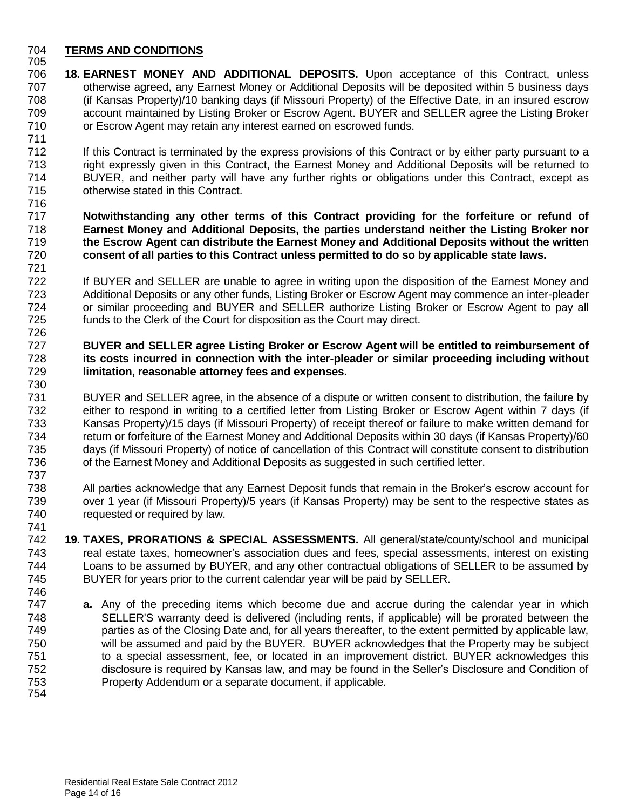#### **TERMS AND CONDITIONS**

- **18. EARNEST MONEY AND ADDITIONAL DEPOSITS.** Upon acceptance of this Contract, unless otherwise agreed, any Earnest Money or Additional Deposits will be deposited within 5 business days (if Kansas Property)/10 banking days (if Missouri Property) of the Effective Date, in an insured escrow account maintained by Listing Broker or Escrow Agent. BUYER and SELLER agree the Listing Broker or Escrow Agent may retain any interest earned on escrowed funds.
- If this Contract is terminated by the express provisions of this Contract or by either party pursuant to a right expressly given in this Contract, the Earnest Money and Additional Deposits will be returned to BUYER, and neither party will have any further rights or obligations under this Contract, except as otherwise stated in this Contract.
- **Notwithstanding any other terms of this Contract providing for the forfeiture or refund of Earnest Money and Additional Deposits, the parties understand neither the Listing Broker nor the Escrow Agent can distribute the Earnest Money and Additional Deposits without the written consent of all parties to this Contract unless permitted to do so by applicable state laws.**
- If BUYER and SELLER are unable to agree in writing upon the disposition of the Earnest Money and Additional Deposits or any other funds, Listing Broker or Escrow Agent may commence an inter-pleader or similar proceeding and BUYER and SELLER authorize Listing Broker or Escrow Agent to pay all funds to the Clerk of the Court for disposition as the Court may direct.
- **BUYER and SELLER agree Listing Broker or Escrow Agent will be entitled to reimbursement of its costs incurred in connection with the inter-pleader or similar proceeding including without limitation, reasonable attorney fees and expenses.**
- BUYER and SELLER agree, in the absence of a dispute or written consent to distribution, the failure by Form 202 either to respond in writing to a certified letter from Listing Broker or Escrow Agent within 7 days (if<br>T33 Kansas Property)/15 days (if Missouri Property) of receipt thereof or failure to make written demand for Kansas Property)/15 days (if Missouri Property) of receipt thereof or failure to make written demand for return or forfeiture of the Earnest Money and Additional Deposits within 30 days (if Kansas Property)/60 days (if Missouri Property) of notice of cancellation of this Contract will constitute consent to distribution of the Earnest Money and Additional Deposits as suggested in such certified letter.
- 738 All parties acknowledge that any Earnest Deposit funds that remain in the Broker's escrow account for<br>739 over 1 year (if Missouri Property)/5 years (if Kansas Property) may be sent to the respective states as over 1 year (if Missouri Property)/5 years (if Kansas Property) may be sent to the respective states as 740 requested or required by law.
- **19. TAXES, PRORATIONS & SPECIAL ASSESSMENTS.** All general/state/county/school and municipal real estate taxes, homeowner's association dues and fees, special assessments, interest on existing Loans to be assumed by BUYER, and any other contractual obligations of SELLER to be assumed by BUYER for years prior to the current calendar year will be paid by SELLER.
- **a.** Any of the preceding items which become due and accrue during the calendar year in which SELLER'S warranty deed is delivered (including rents, if applicable) will be prorated between the parties as of the Closing Date and, for all years thereafter, to the extent permitted by applicable law, will be assumed and paid by the BUYER. BUYER acknowledges that the Property may be subject to a special assessment, fee, or located in an improvement district. BUYER acknowledges this disclosure is required by Kansas law, and may be found in the Seller's Disclosure and Condition of Property Addendum or a separate document, if applicable.
	- Residential Real Estate Sale Contract 2012 Page 14 of 16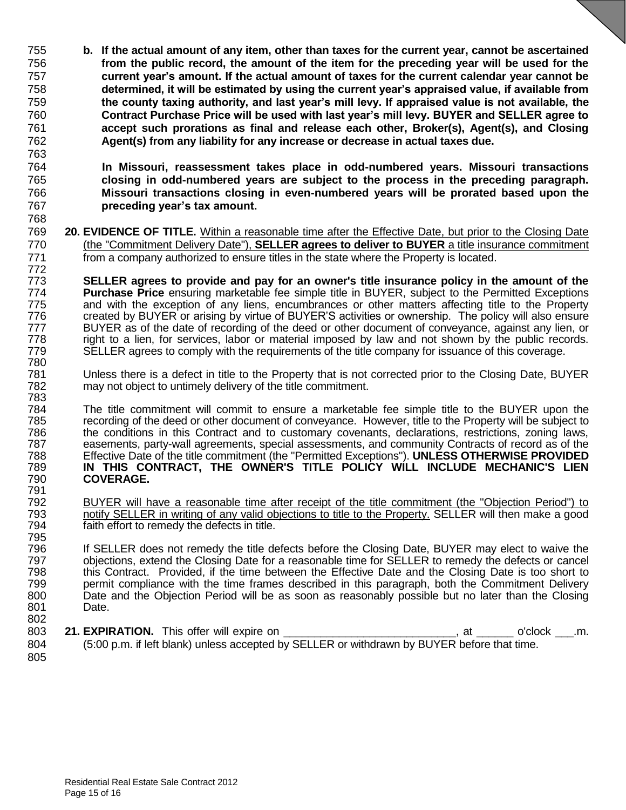- **b. If the actual amount of any item, other than taxes for the current year, cannot be ascertained from the public record, the amount of the item for the preceding year will be used for the current year's amount. If the actual amount of taxes for the current calendar year cannot be determined, it will be estimated by using the current year's appraised value, if available from the county taxing authority, and last year's mill levy. If appraised value is not available, the Contract Purchase Price will be used with last year's mill levy. BUYER and SELLER agree to accept such prorations as final and release each other, Broker(s), Agent(s), and Closing Agent(s) from any liability for any increase or decrease in actual taxes due.**
- **In Missouri, reassessment takes place in odd-numbered years. Missouri transactions closing in odd-numbered years are subject to the process in the preceding paragraph. Missouri transactions closing in even-numbered years will be prorated based upon the preceding year's tax amount.**
- **20. EVIDENCE OF TITLE.** Within a reasonable time after the Effective Date, but prior to the Closing Date (the "Commitment Delivery Date"), **SELLER agrees to deliver to BUYER** a title insurance commitment 771 from a company authorized to ensure titles in the state where the Property is located.
- **SELLER agrees to provide and pay for an owner's title insurance policy in the amount of the Purchase Price** ensuring marketable fee simple title in BUYER, subject to the Permitted Exceptions and with the exception of any liens, encumbrances or other matters affecting title to the Property created by BUYER or arising by virtue of BUYER'S activities or ownership. The policy will also ensure 777 BUYER as of the date of recording of the deed or other document of conveyance, against any lien, or<br>778 right to a lien, for services, labor or material imposed by law and not shown by the public records. right to a lien, for services, labor or material imposed by law and not shown by the public records. SELLER agrees to comply with the requirements of the title company for issuance of this coverage.
- Unless there is a defect in title to the Property that is not corrected prior to the Closing Date, BUYER may not object to untimely delivery of the title commitment.
- The title commitment will commit to ensure a marketable fee simple title to the BUYER upon the 785 recording of the deed or other document of conveyance. However, title to the Property will be subject to<br>786 the conditions in this Contract and to customary covenants, declarations, restrictions, zoning laws, 786 the conditions in this Contract and to customary covenants, declarations, restrictions, zoning laws,<br>787 easements, party-wall agreements, special assessments, and community Contracts of record as of the 787 easements, party-wall agreements, special assessments, and community Contracts of record as of the 788 extine<br>788 Effective Date of the title commitment (the "Permitted Exceptions"). UNLESS OTHERWISE PROVIDED Effective Date of the title commitment (the "Permitted Exceptions"). **UNLESS OTHERWISE PROVIDED IN THIS CONTRACT, THE OWNER'S TITLE POLICY WILL INCLUDE MECHANIC'S LIEN COVERAGE.**
- 792 BUYER will have a reasonable time after receipt of the title commitment (the "Objection Period") to<br>793 hotify SELLER in writing of any valid objections to title to the Property. SELLER will then make a good 793 notify SELLER in writing of any valid objections to title to the Property. SELLER will then make a good 794 faith effort to remedy the defects in title.
- If SELLER does not remedy the title defects before the Closing Date, BUYER may elect to waive the objections, extend the Closing Date for a reasonable time for SELLER to remedy the defects or cancel this Contract. Provided, if the time between the Effective Date and the Closing Date is too short to 799 permit compliance with the time frames described in this paragraph, both the Commitment Delivery<br>800 Date and the Objection Period will be as soon as reasonably possible but no later than the Closing 800 Date and the Objection Period will be as soon as reasonably possible but no later than the Closing 801 Date.
- **21. EXPIRATION.** This offer will expire on \_\_\_\_\_\_\_\_\_\_\_\_\_\_\_\_\_\_\_\_\_\_\_\_\_\_\_, at \_\_\_\_\_\_\_ o'clock \_ .m. (5:00 p.m. if left blank) unless accepted by SELLER or withdrawn by BUYER before that time.